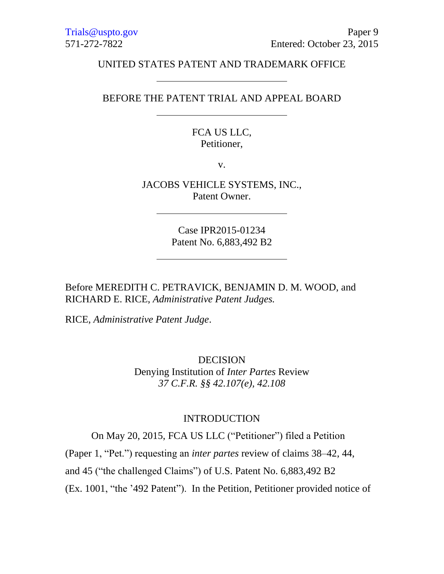## UNITED STATES PATENT AND TRADEMARK OFFICE

## BEFORE THE PATENT TRIAL AND APPEAL BOARD

## FCA US LLC, Petitioner,

v.

JACOBS VEHICLE SYSTEMS, INC., Patent Owner.

> Case IPR2015-01234 Patent No. 6,883,492 B2

Before MEREDITH C. PETRAVICK, BENJAMIN D. M. WOOD, and RICHARD E. RICE, *Administrative Patent Judges.*

RICE, *Administrative Patent Judge*.

DECISION Denying Institution of *Inter Partes* Review *37 C.F.R. §§ 42.107(e), 42.108*

#### INTRODUCTION

On May 20, 2015, FCA US LLC ("Petitioner") filed a Petition

(Paper 1, "Pet.") requesting an *inter partes* review of claims 38–42, 44,

and 45 ("the challenged Claims") of U.S. Patent No. 6,883,492 B2

(Ex. 1001, "the '492 Patent"). In the Petition, Petitioner provided notice of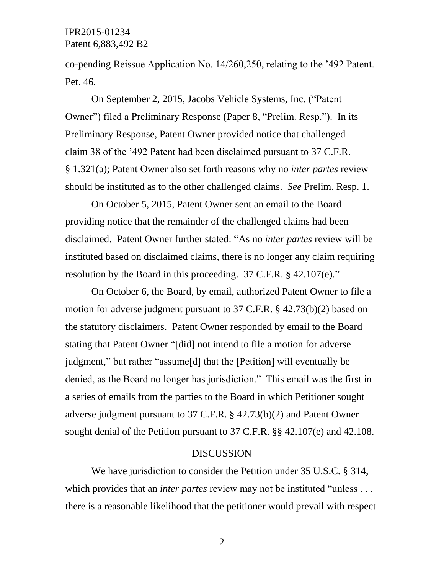# IPR2015-01234 Patent 6,883,492 B2

co-pending Reissue Application No. 14/260,250, relating to the '492 Patent. Pet. 46.

On September 2, 2015, Jacobs Vehicle Systems, Inc. ("Patent Owner") filed a Preliminary Response (Paper 8, "Prelim. Resp."). In its Preliminary Response, Patent Owner provided notice that challenged claim 38 of the '492 Patent had been disclaimed pursuant to 37 C.F.R. § 1.321(a); Patent Owner also set forth reasons why no *inter partes* review should be instituted as to the other challenged claims. *See* Prelim. Resp. 1.

On October 5, 2015, Patent Owner sent an email to the Board providing notice that the remainder of the challenged claims had been disclaimed. Patent Owner further stated: "As no *inter partes* review will be instituted based on disclaimed claims, there is no longer any claim requiring resolution by the Board in this proceeding. 37 C.F.R. § 42.107(e)."

On October 6, the Board, by email, authorized Patent Owner to file a motion for adverse judgment pursuant to 37 C.F.R. § 42.73(b)(2) based on the statutory disclaimers. Patent Owner responded by email to the Board stating that Patent Owner "[did] not intend to file a motion for adverse judgment," but rather "assume[d] that the [Petition] will eventually be denied, as the Board no longer has jurisdiction." This email was the first in a series of emails from the parties to the Board in which Petitioner sought adverse judgment pursuant to 37 C.F.R. § 42.73(b)(2) and Patent Owner sought denial of the Petition pursuant to 37 C.F.R. §§ 42.107(e) and 42.108.

#### DISCUSSION

We have jurisdiction to consider the Petition under 35 U.S.C. § 314, which provides that an *inter partes* review may not be instituted "unless . . . there is a reasonable likelihood that the petitioner would prevail with respect

2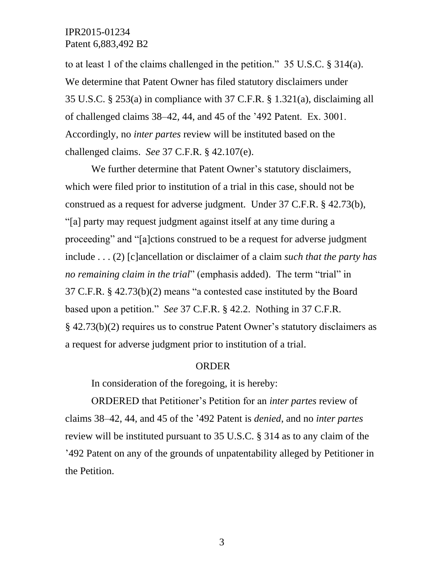# IPR2015-01234 Patent 6,883,492 B2

to at least 1 of the claims challenged in the petition." 35 U.S.C. § 314(a). We determine that Patent Owner has filed statutory disclaimers under 35 U.S.C. § 253(a) in compliance with 37 C.F.R. § 1.321(a), disclaiming all of challenged claims 38–42, 44, and 45 of the '492 Patent. Ex. 3001. Accordingly, no *inter partes* review will be instituted based on the challenged claims. *See* 37 C.F.R. § 42.107(e).

We further determine that Patent Owner's statutory disclaimers, which were filed prior to institution of a trial in this case, should not be construed as a request for adverse judgment. Under 37 C.F.R. § 42.73(b), "[a] party may request judgment against itself at any time during a proceeding" and "[a]ctions construed to be a request for adverse judgment include . . . (2) [c]ancellation or disclaimer of a claim *such that the party has no remaining claim in the trial*" (emphasis added). The term "trial" in 37 C.F.R. § 42.73(b)(2) means "a contested case instituted by the Board based upon a petition." *See* 37 C.F.R. § 42.2. Nothing in 37 C.F.R. § 42.73(b)(2) requires us to construe Patent Owner's statutory disclaimers as a request for adverse judgment prior to institution of a trial.

#### ORDER

In consideration of the foregoing, it is hereby:

ORDERED that Petitioner's Petition for an *inter partes* review of claims 38–42, 44, and 45 of the '492 Patent is *denied*, and no *inter partes* review will be instituted pursuant to 35 U.S.C. § 314 as to any claim of the '492 Patent on any of the grounds of unpatentability alleged by Petitioner in the Petition.

3